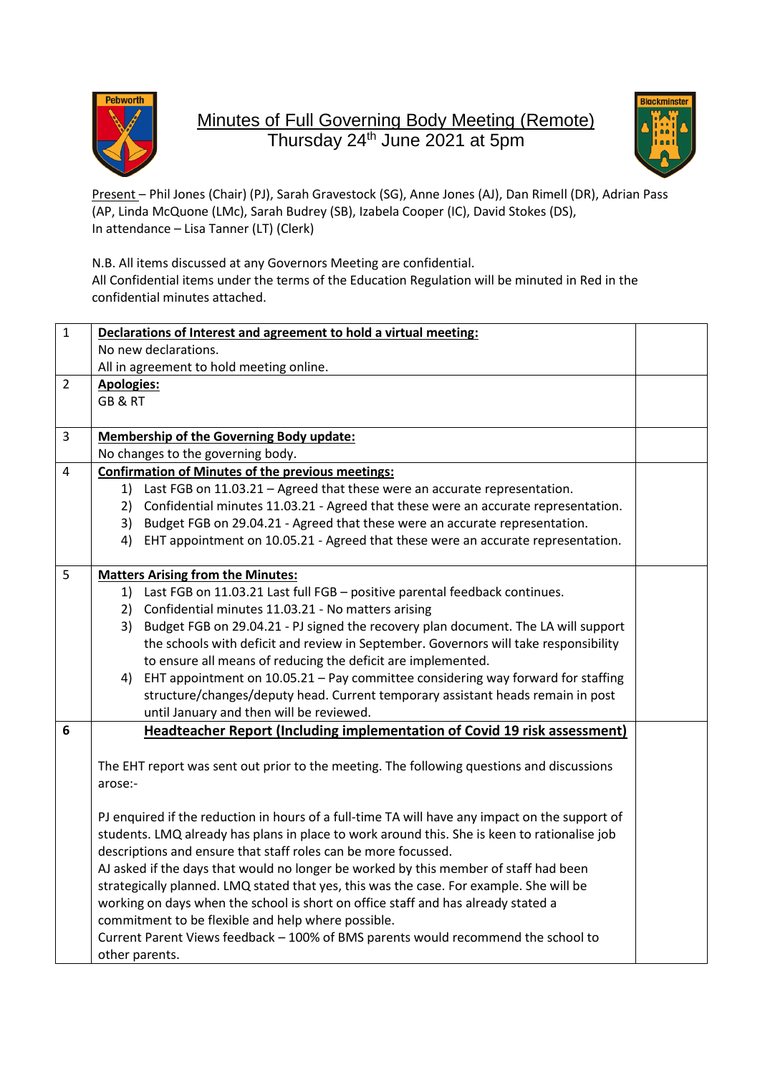

## Minutes of Full Governing Body Meeting (Remote) Thursday 24<sup>th</sup> June 2021 at 5pm



Present – Phil Jones (Chair) (PJ), Sarah Gravestock (SG), Anne Jones (AJ), Dan Rimell (DR), Adrian Pass (AP, Linda McQuone (LMc), Sarah Budrey (SB), Izabela Cooper (IC), David Stokes (DS), In attendance – Lisa Tanner (LT) (Clerk)

N.B. All items discussed at any Governors Meeting are confidential.

All Confidential items under the terms of the Education Regulation will be minuted in Red in the confidential minutes attached.

| $\mathbf{1}$   | Declarations of Interest and agreement to hold a virtual meeting:                                                                                                                                                                                                                                                                                                      |  |  |
|----------------|------------------------------------------------------------------------------------------------------------------------------------------------------------------------------------------------------------------------------------------------------------------------------------------------------------------------------------------------------------------------|--|--|
|                | No new declarations.                                                                                                                                                                                                                                                                                                                                                   |  |  |
|                | All in agreement to hold meeting online.                                                                                                                                                                                                                                                                                                                               |  |  |
| $\overline{2}$ | <b>Apologies:</b>                                                                                                                                                                                                                                                                                                                                                      |  |  |
|                | GB&RT                                                                                                                                                                                                                                                                                                                                                                  |  |  |
|                |                                                                                                                                                                                                                                                                                                                                                                        |  |  |
| 3              | <b>Membership of the Governing Body update:</b>                                                                                                                                                                                                                                                                                                                        |  |  |
|                | No changes to the governing body.                                                                                                                                                                                                                                                                                                                                      |  |  |
| 4              | <b>Confirmation of Minutes of the previous meetings:</b>                                                                                                                                                                                                                                                                                                               |  |  |
|                | Last FGB on 11.03.21 - Agreed that these were an accurate representation.<br>1)                                                                                                                                                                                                                                                                                        |  |  |
|                | Confidential minutes 11.03.21 - Agreed that these were an accurate representation.<br>2)                                                                                                                                                                                                                                                                               |  |  |
|                | 3) Budget FGB on 29.04.21 - Agreed that these were an accurate representation.                                                                                                                                                                                                                                                                                         |  |  |
|                | 4) EHT appointment on 10.05.21 - Agreed that these were an accurate representation.                                                                                                                                                                                                                                                                                    |  |  |
|                |                                                                                                                                                                                                                                                                                                                                                                        |  |  |
| 5              | <b>Matters Arising from the Minutes:</b>                                                                                                                                                                                                                                                                                                                               |  |  |
|                | Last FGB on 11.03.21 Last full FGB - positive parental feedback continues.<br>1)                                                                                                                                                                                                                                                                                       |  |  |
|                | Confidential minutes 11.03.21 - No matters arising<br>2)                                                                                                                                                                                                                                                                                                               |  |  |
|                | Budget FGB on 29.04.21 - PJ signed the recovery plan document. The LA will support<br>3)                                                                                                                                                                                                                                                                               |  |  |
|                | the schools with deficit and review in September. Governors will take responsibility                                                                                                                                                                                                                                                                                   |  |  |
|                | to ensure all means of reducing the deficit are implemented.                                                                                                                                                                                                                                                                                                           |  |  |
|                | EHT appointment on 10.05.21 - Pay committee considering way forward for staffing<br>4)                                                                                                                                                                                                                                                                                 |  |  |
|                | structure/changes/deputy head. Current temporary assistant heads remain in post                                                                                                                                                                                                                                                                                        |  |  |
|                | until January and then will be reviewed.                                                                                                                                                                                                                                                                                                                               |  |  |
| 6              | <b>Headteacher Report (Including implementation of Covid 19 risk assessment)</b>                                                                                                                                                                                                                                                                                       |  |  |
|                |                                                                                                                                                                                                                                                                                                                                                                        |  |  |
|                |                                                                                                                                                                                                                                                                                                                                                                        |  |  |
|                | arose:-                                                                                                                                                                                                                                                                                                                                                                |  |  |
|                |                                                                                                                                                                                                                                                                                                                                                                        |  |  |
|                | PJ enquired if the reduction in hours of a full-time TA will have any impact on the support of                                                                                                                                                                                                                                                                         |  |  |
|                |                                                                                                                                                                                                                                                                                                                                                                        |  |  |
|                | descriptions and ensure that staff roles can be more focussed.                                                                                                                                                                                                                                                                                                         |  |  |
|                |                                                                                                                                                                                                                                                                                                                                                                        |  |  |
|                | strategically planned. LMQ stated that yes, this was the case. For example. She will be                                                                                                                                                                                                                                                                                |  |  |
|                |                                                                                                                                                                                                                                                                                                                                                                        |  |  |
|                | commitment to be flexible and help where possible.                                                                                                                                                                                                                                                                                                                     |  |  |
|                | Current Parent Views feedback - 100% of BMS parents would recommend the school to                                                                                                                                                                                                                                                                                      |  |  |
|                | other parents.                                                                                                                                                                                                                                                                                                                                                         |  |  |
|                | The EHT report was sent out prior to the meeting. The following questions and discussions<br>students. LMQ already has plans in place to work around this. She is keen to rationalise job<br>AJ asked if the days that would no longer be worked by this member of staff had been<br>working on days when the school is short on office staff and has already stated a |  |  |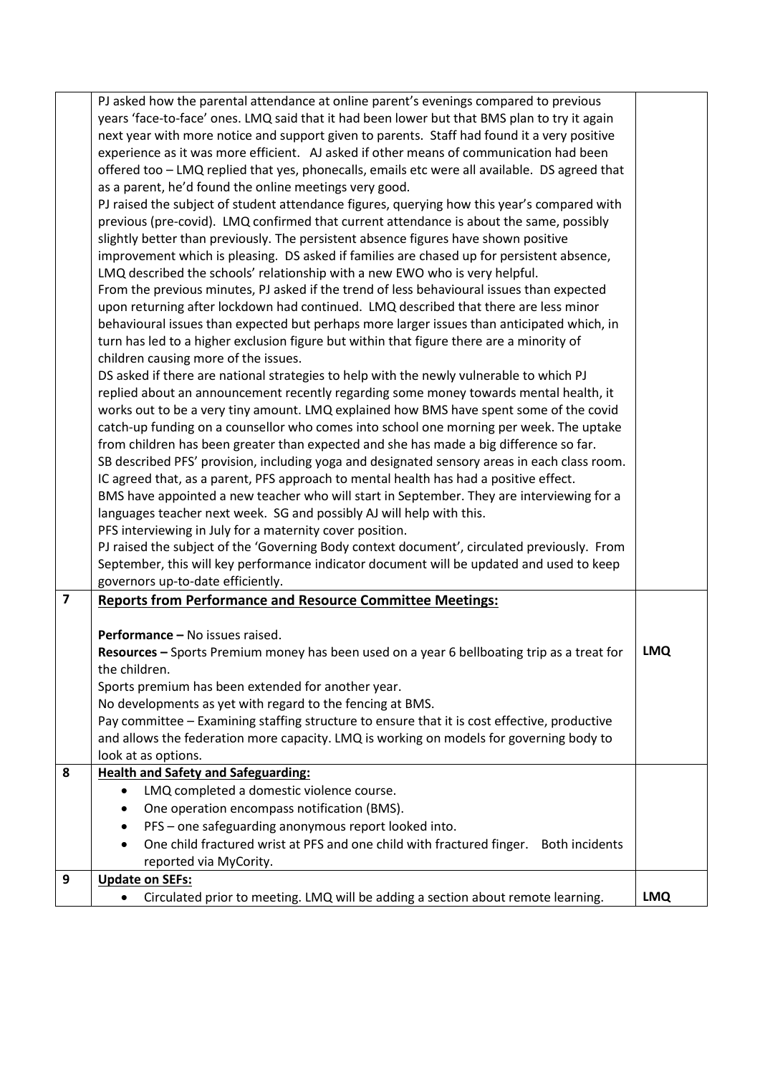|                         | PJ asked how the parental attendance at online parent's evenings compared to previous         |            |
|-------------------------|-----------------------------------------------------------------------------------------------|------------|
|                         | years 'face-to-face' ones. LMQ said that it had been lower but that BMS plan to try it again  |            |
|                         | next year with more notice and support given to parents. Staff had found it a very positive   |            |
|                         | experience as it was more efficient. AJ asked if other means of communication had been        |            |
|                         | offered too - LMQ replied that yes, phonecalls, emails etc were all available. DS agreed that |            |
|                         | as a parent, he'd found the online meetings very good.                                        |            |
|                         | PJ raised the subject of student attendance figures, querying how this year's compared with   |            |
|                         | previous (pre-covid). LMQ confirmed that current attendance is about the same, possibly       |            |
|                         | slightly better than previously. The persistent absence figures have shown positive           |            |
|                         | improvement which is pleasing. DS asked if families are chased up for persistent absence,     |            |
|                         | LMQ described the schools' relationship with a new EWO who is very helpful.                   |            |
|                         | From the previous minutes, PJ asked if the trend of less behavioural issues than expected     |            |
|                         | upon returning after lockdown had continued. LMQ described that there are less minor          |            |
|                         | behavioural issues than expected but perhaps more larger issues than anticipated which, in    |            |
|                         |                                                                                               |            |
|                         | turn has led to a higher exclusion figure but within that figure there are a minority of      |            |
|                         | children causing more of the issues.                                                          |            |
|                         | DS asked if there are national strategies to help with the newly vulnerable to which PJ       |            |
|                         | replied about an announcement recently regarding some money towards mental health, it         |            |
|                         | works out to be a very tiny amount. LMQ explained how BMS have spent some of the covid        |            |
|                         | catch-up funding on a counsellor who comes into school one morning per week. The uptake       |            |
|                         | from children has been greater than expected and she has made a big difference so far.        |            |
|                         | SB described PFS' provision, including yoga and designated sensory areas in each class room.  |            |
|                         | IC agreed that, as a parent, PFS approach to mental health has had a positive effect.         |            |
|                         | BMS have appointed a new teacher who will start in September. They are interviewing for a     |            |
|                         | languages teacher next week. SG and possibly AJ will help with this.                          |            |
|                         | PFS interviewing in July for a maternity cover position.                                      |            |
|                         | PJ raised the subject of the 'Governing Body context document', circulated previously. From   |            |
|                         | September, this will key performance indicator document will be updated and used to keep      |            |
|                         | governors up-to-date efficiently.                                                             |            |
| $\overline{\mathbf{z}}$ | <b>Reports from Performance and Resource Committee Meetings:</b>                              |            |
|                         |                                                                                               |            |
|                         | Performance - No issues raised.                                                               |            |
|                         | Resources - Sports Premium money has been used on a year 6 bellboating trip as a treat for    | <b>LMQ</b> |
|                         | the children.                                                                                 |            |
|                         | Sports premium has been extended for another year.                                            |            |
|                         | No developments as yet with regard to the fencing at BMS.                                     |            |
|                         | Pay committee - Examining staffing structure to ensure that it is cost effective, productive  |            |
|                         | and allows the federation more capacity. LMQ is working on models for governing body to       |            |
|                         | look at as options.                                                                           |            |
| 8                       | <b>Health and Safety and Safeguarding:</b>                                                    |            |
|                         | LMQ completed a domestic violence course.<br>$\bullet$                                        |            |
|                         | One operation encompass notification (BMS).                                                   |            |
|                         |                                                                                               |            |
|                         | PFS - one safeguarding anonymous report looked into.                                          |            |
|                         | One child fractured wrist at PFS and one child with fractured finger. Both incidents          |            |
|                         | reported via MyCority.                                                                        |            |
| 9                       | <b>Update on SEFs:</b>                                                                        |            |
|                         | Circulated prior to meeting. LMQ will be adding a section about remote learning.<br>٠         | <b>LMQ</b> |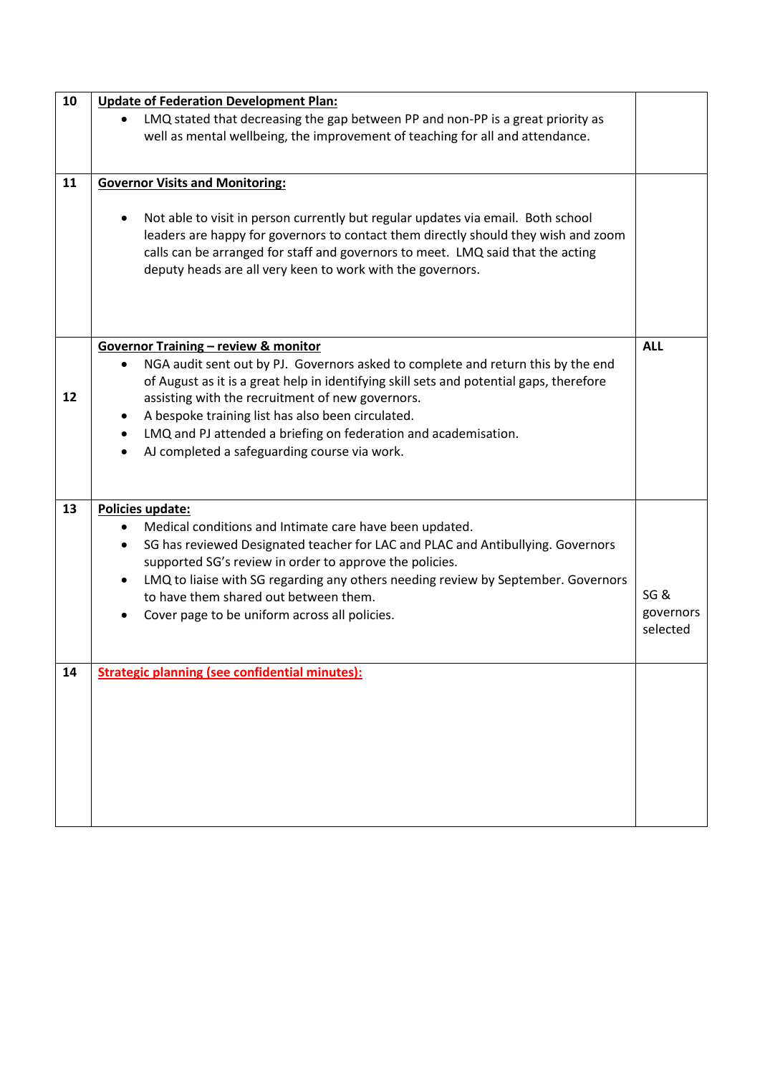| 10 | <b>Update of Federation Development Plan:</b>                                                                                                                                            |            |
|----|------------------------------------------------------------------------------------------------------------------------------------------------------------------------------------------|------------|
|    | LMQ stated that decreasing the gap between PP and non-PP is a great priority as                                                                                                          |            |
|    | well as mental wellbeing, the improvement of teaching for all and attendance.                                                                                                            |            |
|    |                                                                                                                                                                                          |            |
| 11 | <b>Governor Visits and Monitoring:</b>                                                                                                                                                   |            |
|    |                                                                                                                                                                                          |            |
|    | Not able to visit in person currently but regular updates via email. Both school                                                                                                         |            |
|    | leaders are happy for governors to contact them directly should they wish and zoom                                                                                                       |            |
|    | calls can be arranged for staff and governors to meet. LMQ said that the acting                                                                                                          |            |
|    | deputy heads are all very keen to work with the governors.                                                                                                                               |            |
|    |                                                                                                                                                                                          |            |
|    |                                                                                                                                                                                          |            |
|    |                                                                                                                                                                                          |            |
|    | Governor Training - review & monitor                                                                                                                                                     | <b>ALL</b> |
|    | NGA audit sent out by PJ. Governors asked to complete and return this by the end<br>$\bullet$<br>of August as it is a great help in identifying skill sets and potential gaps, therefore |            |
| 12 | assisting with the recruitment of new governors.                                                                                                                                         |            |
|    | A bespoke training list has also been circulated.<br>$\bullet$                                                                                                                           |            |
|    | LMQ and PJ attended a briefing on federation and academisation.<br>$\bullet$                                                                                                             |            |
|    | AJ completed a safeguarding course via work.                                                                                                                                             |            |
|    |                                                                                                                                                                                          |            |
|    |                                                                                                                                                                                          |            |
| 13 | Policies update:                                                                                                                                                                         |            |
|    | Medical conditions and Intimate care have been updated.                                                                                                                                  |            |
|    | SG has reviewed Designated teacher for LAC and PLAC and Antibullying. Governors<br>$\bullet$                                                                                             |            |
|    | supported SG's review in order to approve the policies.                                                                                                                                  |            |
|    | LMQ to liaise with SG regarding any others needing review by September. Governors                                                                                                        |            |
|    | to have them shared out between them.                                                                                                                                                    | SG&        |
|    | Cover page to be uniform across all policies.                                                                                                                                            | governors  |
|    |                                                                                                                                                                                          | selected   |
|    |                                                                                                                                                                                          |            |
| 14 | <b>Strategic planning (see confidential minutes):</b>                                                                                                                                    |            |
|    |                                                                                                                                                                                          |            |
|    |                                                                                                                                                                                          |            |
|    |                                                                                                                                                                                          |            |
|    |                                                                                                                                                                                          |            |
|    |                                                                                                                                                                                          |            |
|    |                                                                                                                                                                                          |            |
|    |                                                                                                                                                                                          |            |
|    |                                                                                                                                                                                          |            |